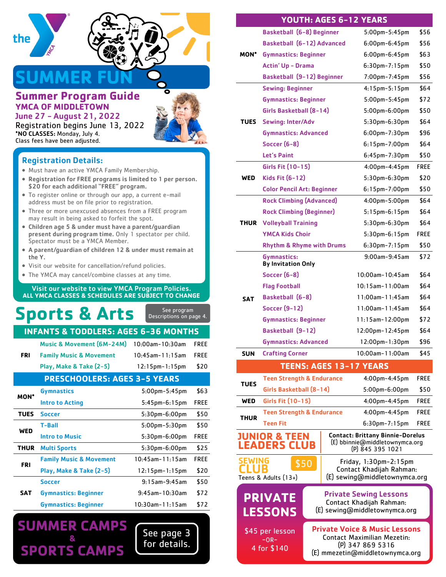

# **SUMMER FUN**

### **Summer Program Guide YMCA OF MIDDLETOWN** June 27 - August 21, 2022



Registration begins June 13, 2022 \*NO CLASSES: Monday, July 4. Class fees have been adjusted.

# Registration Details:

- Must have an active YMCA Family Membership.
- Registration for FREE programs is limited to 1 per person. \$20 for each additional "FREE" program.
- To register online or through our app, a current e-mail address must be on file prior to registration.
- Three or more unexcused absences from a FREE program may result in being asked to forfeit the spot.
- Children age 5 & under must have a parent/guardian present during program time. Only 1 spectator per child. Spectator must be a YMCA Member.
- A parent/guardian of children 12 & under must remain at the Y.
- Visit our website for cancellation/refund policies.
- The YMCA may cancel/combine classes at any time.

#### Visit our website to view YMCA Program Policies. **ALL YMCA CLASSES & SCHEDULES ARE SUBJECT TO CHANGE**

| See program<br><b>Sports &amp; Arts</b><br>Descriptions on page 4.     |             |
|------------------------------------------------------------------------|-------------|
|                                                                        |             |
| <b>INFANTS &amp; TODDLERS: AGES 6-36 MONTHS</b>                        |             |
| <b>Music &amp; Movement (6M-24M)</b><br>$10:00$ am- $10:30$ am         | <b>FREE</b> |
| <b>FRI</b><br><b>Family Music &amp; Movement</b><br>$10:45$ am-11:15am | <b>FREE</b> |
| Play, Make & Take (2-5)<br>$12:15$ pm- $1:15$ pm                       | \$20        |
| <b>PRESCHOOLERS: AGES 3-5 YEARS</b>                                    |             |
| <b>Gymnastics</b><br>$5:00$ pm- $5:45$ pm<br><b>MON*</b>               | \$63        |
| <b>Intro to Acting</b><br>$5:45$ pm- $6:15$ pm                         | <b>FREE</b> |
| <b>TUES</b><br><b>Soccer</b><br>5:30pm-6:00pm                          | \$50        |
| <b>T-Ball</b><br>$5:00$ pm $-5:30$ pm<br><b>WED</b>                    | \$50        |
| <b>Intro to Music</b><br>5:30pm-6:00pm                                 | <b>FREE</b> |
|                                                                        |             |
| <b>THUR</b><br><b>Multi Sports</b><br>5:30pm-6:00pm                    | \$25        |
| <b>Family Music &amp; Movement</b><br>$10:45$ am-11:15am<br><b>FRI</b> | <b>FREE</b> |

| <b>Soccer</b>                   | $9:15$ am- $9:45$ am | \$50 |
|---------------------------------|----------------------|------|
| <b>SAT</b> Gymnastics: Beginner | $9:45$ am-10:30am    | \$72 |
| <b>Gymnastics: Beginner</b>     | $10:30$ am-11:15am   | \$72 |

See page 3 for details.

# **SUMMER CAMPS & SPORTS CAMPS**

|             | Basketball (6-8) Beginner                      | 5:00pm-5:45pm                                                                                 | \$56        |
|-------------|------------------------------------------------|-----------------------------------------------------------------------------------------------|-------------|
|             | Basketball (6-12) Advanced                     | $6:00$ pm- $6:45$ pm                                                                          | \$56        |
| MON*        | <b>Gymnastics: Beginner</b>                    | $6:00$ pm- $6:45$ pm                                                                          | \$63        |
|             | <b>Actin' Up - Drama</b>                       | $6:30$ pm-7:15pm                                                                              | \$50        |
|             | Basketball (9-12) Beginner                     | 7:00pm-7:45pm                                                                                 | \$56        |
|             | <b>Sewing: Beginner</b>                        | $4:15$ pm $-5:15$ pm                                                                          | \$64        |
|             | <b>Gymnastics: Beginner</b>                    | $5:00$ pm $-5:45$ pm                                                                          | \$72        |
|             | Girls Basketball (8-14)                        | $5:00$ pm $-6:00$ pm                                                                          | \$50        |
| TUES        | <b>Sewing: Inter/Adv</b>                       | 5:30pm-6:30pm                                                                                 | \$64        |
|             | <b>Gymnastics: Advanced</b>                    | $6:00$ pm $-7:30$ pm                                                                          | \$96        |
|             | Soccer (6-8)                                   | $6:15$ pm-7:00pm                                                                              | \$64        |
|             | Let's Paint                                    | $6:45$ pm- $7:30$ pm                                                                          | \$50        |
|             | Girls Fit (10-15)                              | $4:00$ pm $-4:45$ pm                                                                          | FREE        |
| WED         | Kids Fit (6-12)                                | 5:30pm-6:30pm                                                                                 | \$20        |
|             | <b>Color Pencil Art: Beginner</b>              | $6:15$ pm-7:00pm                                                                              | \$50        |
|             | <b>Rock Climbing (Advanced)</b>                | 4:00pm-5:00pm                                                                                 | \$64        |
|             | <b>Rock Climbing (Beginner)</b>                | $5:15$ pm- $6:15$ pm                                                                          | \$64        |
| THUR        | <b>Volleyball Training</b>                     | $5:30$ pm $-6:30$ pm                                                                          | \$64        |
|             | <b>YMCA Kids Choir</b>                         | $5:30$ pm $-6:15$ pm                                                                          | <b>FREE</b> |
|             | <b>Rhythm &amp; Rhyme with Drums</b>           | 6:30pm-7:15pm                                                                                 | \$50        |
|             | Gymnastics:<br><b>By Invitation Only</b>       | 9:00am-9:45am                                                                                 | \$72        |
|             | <b>Soccer (6-8)</b>                            | 10:00am-10:45am                                                                               | \$64        |
|             | <b>Flag Football</b>                           | 10:15am-11:00am                                                                               | \$64        |
| <b>SAT</b>  | Basketball (6-8)                               | 11:00am-11:45am                                                                               | \$64        |
|             | <b>Soccer (9-12)</b>                           | 11:00am-11:45am                                                                               | \$64        |
|             | <b>Gymnastics: Beginner</b>                    | $11:15$ am- $12:00$ pm                                                                        | \$72        |
|             | Basketball (9-12)                              | 12:00pm-12:45pm                                                                               | \$64        |
|             | <b>Gymnastics: Advanced</b>                    | 12:00pm-1:30pm                                                                                | \$96        |
| SUN         | <b>Crafting Corner</b>                         | 10:00am-11:00am                                                                               | \$45        |
|             | <b>TEENS: AGES 13-17 YEARS</b>                 |                                                                                               |             |
|             | <b>Teen Strength &amp; Endurance</b>           | $4:00$ pm- $4:45$ pm                                                                          | <b>FREE</b> |
| TUES        | Girls Basketball (8-14)                        | $5:00$ pm- $6:00$ pm                                                                          | \$50        |
| WED         | Girls Fit (10-15)                              | $4:00$ pm $-4:45$ pm                                                                          | FREE        |
|             | <b>Teen Strength &amp; Endurance</b>           | 4:00pm-4:45pm                                                                                 | FREE        |
| <b>THUR</b> | Teen Fit                                       | $6:30$ pm-7:15pm                                                                              | FREE        |
|             | <b>JUNIOR &amp; TEEN</b><br><b>EADERS CLUB</b> | <b>Contact: Brittany Binnie-Dorelus</b><br>(E) bbinnie@middletownymca.org<br>(P) 845 395 1021 |             |
| SEWING      | \$50<br>Teens & Adults (13+)                   | Friday, 1:30pm-2:15pm<br>Contact Khadijah Rahman:<br>(E) sewing@middletownymca.org            |             |
|             |                                                |                                                                                               |             |
|             | <b>PRIVATE</b><br><b>LESSONS</b>               | <b>Private Sewing Lessons</b><br>Contact Khadijah Rahman:<br>(E) sewing@middletownymca.org    |             |

\$45 per lesson  $-OR-$ 4 for \$140

Private Voice & Music Lessons Contact Maximilian Mezetin: (P) 347 869 5316 (E) mmezetin@middletownymca.org

#### **YOUTH: AGES 6-12 YEARS**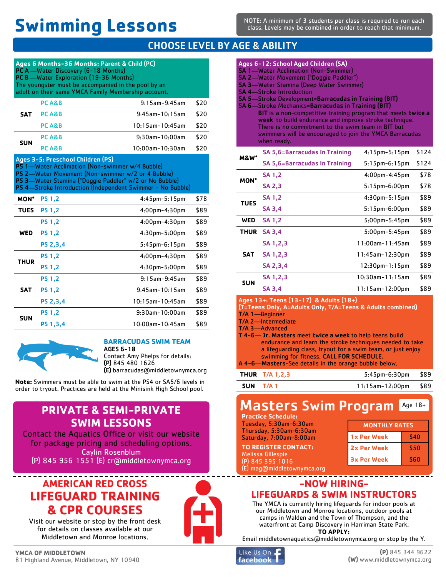# **Swimming Lessons**

NOTE: A minimum of 3 students per class is required to run each class. Levels may be combined in order to reach that minimum.

# CHOOSE LEVEL BY AGE & ABILITY

|             | Ages 6 Months-36 Months: Parent & Child (PC)<br>PC A -Water Discovery (6-18 Months)<br>PC B -Water Exploration (19-36 Months)<br>The youngster must be accompanied in the pool by an<br>adult on their same YMCA Family Membership account. |                                                            |      |
|-------------|---------------------------------------------------------------------------------------------------------------------------------------------------------------------------------------------------------------------------------------------|------------------------------------------------------------|------|
|             | PC A&B                                                                                                                                                                                                                                      | $9:15$ am- $9:45$ am                                       | \$20 |
| <b>SAT</b>  | PC A&B                                                                                                                                                                                                                                      | $9:45$ am-10:15am                                          | \$20 |
|             | PC A&B                                                                                                                                                                                                                                      | $10:15$ am- $10:45$ am                                     | \$20 |
| <b>SUN</b>  | PC A&B                                                                                                                                                                                                                                      | $9:30$ am-10:00am                                          | \$20 |
|             | PC A&B                                                                                                                                                                                                                                      | 10:00am-10:30am                                            | \$20 |
|             | Ages 3-5: Preschool Children (PS)<br>PS 1-Water Acclimation (Non-swimmer w/4 Bubble)<br>PS 2-Water Movement (Non-swimmer w/2 or 4 Bubble)<br>PS 3-Water Stamina ("Doggie Paddler" w/2 or No Bubble)                                         | PS 4-Stroke Introduction (Independent Swimmer - No Bubble) |      |
| MON*        | <b>PS 1,2</b>                                                                                                                                                                                                                               | $4:45$ pm $-5:15$ pm                                       | \$78 |
| <b>TUES</b> | <b>PS 1,2</b>                                                                                                                                                                                                                               | 4:00pm-4:30pm                                              | \$89 |
|             | <b>PS 1.2</b>                                                                                                                                                                                                                               | 4:00pm-4:30pm                                              | \$89 |
| <b>WED</b>  | <b>PS 1,2</b>                                                                                                                                                                                                                               | 4:30pm-5:00pm                                              | \$89 |
|             | PS 2,3,4                                                                                                                                                                                                                                    | $5:45$ pm- $6:15$ pm                                       | \$89 |
| <b>THUR</b> | <b>PS 1.2</b>                                                                                                                                                                                                                               | 4:00pm-4:30pm                                              | \$89 |
|             | <b>PS 1,2</b>                                                                                                                                                                                                                               | 4:30pm-5:00pm                                              | \$89 |
|             | <b>PS 1.2</b>                                                                                                                                                                                                                               | $9:15$ am- $9:45$ am                                       | \$89 |
| <b>SAT</b>  | <b>PS 1,2</b>                                                                                                                                                                                                                               | 9:45am-10:15am                                             | \$89 |
|             | <b>PS 2,3,4</b>                                                                                                                                                                                                                             | $10:15$ am- $10:45$ am                                     | \$89 |
| <b>SUN</b>  | <b>PS 1.2</b>                                                                                                                                                                                                                               | $9:30$ am-10:00am                                          | \$89 |
|             | PS 1,3,4                                                                                                                                                                                                                                    | $10:00$ am- $10:45$ am                                     | \$89 |



#### **BARRACUDAS SWIM TEAM**

AGES 6-18 Contact Amy Phelps for details: (P) 845 480 1626 (E) barracudas@middletownymca.org

**Note:** Swimmers must be able to swim at the PS4 or SA5/6 levels in order to tryout. Practices are held at the Minisink High School pool.

# **PRIVATE & SEMI-PRIVATE SWIM LESSONS**

Contact the Aquatics Office or visit our website for package pricing and scheduling options. Caylin Rosenblum (P) 845 956 1551 (E) cr@middletownymca.org

# **AMERICAN RED CROSS LIFEGUARD TRAINING & CPR COURSES** Visit our website or stop by the front desk

for details on classes available at our Middletown and Monroe locations.

|     | Ages 6-12: School Aged Children (SA)<br><b>SA 1-Water Acclimation (Non-Swimmer)</b><br><b>SA 2-Water Movement ("Doggie Paddler")</b><br><b>SA 3-Water Stamina (Deep Water Swimmer)</b><br><b>SA 4-Stroke Introduction</b><br><b>SA 5-Stroke Development=Barracudas in Training (BIT)</b><br><b>SA 6-Stroke Mechanics=Barracudas in Training (BIT)</b><br><b>BIT</b> is a non-competitive training program that meets twice a<br>week to build endurance and improve stroke technique.<br>There is no commitment to the swim team in BIT but<br>swimmers will be encouraged to join the YMCA Barracudas<br>when ready. |                      |       |
|-----|-----------------------------------------------------------------------------------------------------------------------------------------------------------------------------------------------------------------------------------------------------------------------------------------------------------------------------------------------------------------------------------------------------------------------------------------------------------------------------------------------------------------------------------------------------------------------------------------------------------------------|----------------------|-------|
| M&W | <b>SA 5,6=Barracudas In Training</b>                                                                                                                                                                                                                                                                                                                                                                                                                                                                                                                                                                                  | $4:15$ pm $-5:15$ pm | \$124 |
|     |                                                                                                                                                                                                                                                                                                                                                                                                                                                                                                                                                                                                                       |                      |       |

| <b>M&amp;W*</b> |                                      |                       |       |
|-----------------|--------------------------------------|-----------------------|-------|
|                 | <b>SA 5.6=Barracudas In Training</b> | $5:15$ pm- $6:15$ pm  | \$124 |
| <b>MON*</b>     | SA 1,2                               | $4:00$ pm- $4:45$ pm  | \$78  |
|                 | <b>SA 2,3</b>                        | $5:15$ pm- $6:00$ pm  | \$78  |
| <b>TUES</b>     | <b>SA 1.2</b>                        | $4:30$ pm- $5:15$ pm  | \$89  |
|                 | <b>SA 3.4</b>                        | $5:15$ pm- $6:00$ pm  | \$89  |
| WED             | <b>SA 1.2</b>                        | $5:00$ pm- $5:45$ pm  | \$89  |
| <b>THUR</b>     | <b>SA 3.4</b>                        | $5:00$ pm- $5:45$ pm  | \$89  |
|                 | SA 1,2,3                             | 11:00am-11:45am       | \$89  |
| SAT             | SA 1,2,3                             | 11:45am-12:30pm       | \$89  |
|                 | SA 2,3,4                             | $12:30$ pm- $1:15$ pm | \$89  |
| SUN             | SA 1,2,3                             | $10:30$ am-11:15am    | \$89  |
|                 | SA 3.4                               | 11:15am-12:00pm       | \$89  |
|                 |                                      |                       |       |

| Ages 13+: Teens (13-17) & Adults (18+)                      |
|-------------------------------------------------------------|
| (T=Teens Only, A=Adults Only, T/A=Teens & Adults combined)  |
| T/A 1-Beginner                                              |
| T/A 2-Intermediate                                          |
| <b>T/A 3</b> —Advanced                                      |
| T 4-6— Jr. Masters meet twice a week to help teens build    |
| endurance and learn the stroke techniques needed to take    |
| a lifequarding class, tryout for a swim team, or just enjoy |
| swimming for fitness. CALL FOR SCHEDULE.                    |
| A 4-6—Masters-See details in the orange bubble below.       |

| <b>THUR</b> T/A 1,2,3 | 5:45pm-6:30pm \$89      |  |
|-----------------------|-------------------------|--|
| SUN T/A 1             | $11:15$ am-12:00pm \$89 |  |

#### Masters Swim Program Age 18+

**Practice Schedule:**  Tuesday, 5:30am-6:30am Thursday, 5:30am-6:30am Saturday, 7:00am-8:00am **TO REGISTER CONTACT:** Melissa Gillespie

(E) mag@middletownymca.org

(P) 845 395 1016

| <b>MONTHLY RATES</b> |      |
|----------------------|------|
| 1x Per Week          | \$40 |
| <b>2x Per Week</b>   | \$50 |
| <b>3x Per Week</b>   | \$60 |

### **-NOW HIRING-LIFEGUARDS & SWIM INSTRUCTORS**

------------------

The YMCA is currently hiring lifeguards for indoor pools at our Middletown and Monroe locations, outdoor pools at camps in Walden and the Town of Thompson, and the waterfront at Camp Discovery in Harriman State Park. **TO APPLY:**

Email middletownaquatics@middletownymca.org or stop by the Y.

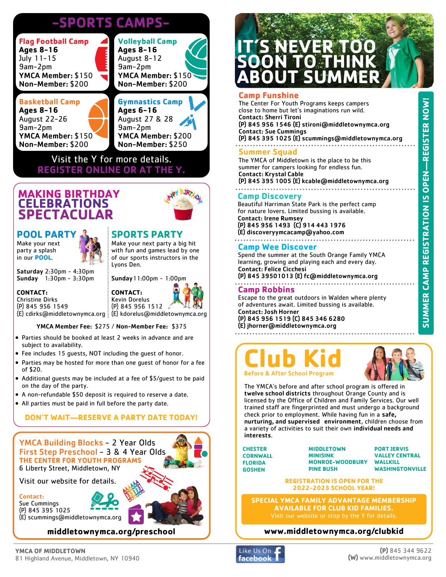# **-SPORTS CAMPS-**

| <b>Flag Football Camp</b><br><b>Ages 8-16</b> | <b>Volleyball Camp</b><br><b>Ages 8-16</b> |
|-----------------------------------------------|--------------------------------------------|
| July 11-15<br>9am-2pm                         | August 8-12<br>9am-2pm                     |
| YMCA Member: \$150<br>Non-Member: \$200       | YMCA Member: \$150<br>Non-Member: \$200    |
|                                               |                                            |
|                                               |                                            |
| <b>Basketball Camp</b>                        | <b>Gymnastics Camp</b>                     |
| <b>Ages 8-16</b>                              | Ages 6-16                                  |
| <b>August 22-26</b>                           |                                            |
| 9am-2pm                                       | August 27 & 28<br>9am-2pm                  |
| YMCA Member: \$150                            | YMCA Member: \$200                         |

Visit the Y for more details. **REGISTER ONLINE OR AT THE** 

# **MAKING BIRTHDAY CELEBRATIONS SPECTACULAR**

#### **POOL PARTY** Make your next

party a splash in our **POOL**.

# **SPORTS PARTY**

Make your next party a big hit with fun and games lead by one of our sports instructors in the Lyons Den.

Saturday 2:30pm - 4:30pm Sunday 1:30pm - 3:30pm

# **CONTACT:**

Christine Dirks (P) 845 956 1549 (E) cdirks@middletownymca.org (E) kdorelus@middletownymca.org



**CONTACT:**

#### YMCA Member Fee: \$275 / Non-Member Fee: \$375

- Parties should be booked at least 2 weeks in advance and are subject to availability.
- Fee includes 15 guests, NOT including the guest of honor.
- Parties may be hosted for more than one guest of honor for a fee of \$20.
- Additional guests may be included at a fee of \$5/guest to be paid on the day of the party.
- A non-refundable \$50 deposit is required to reserve a date.
- All parties must be paid in full before the party date.

# **DON'T WAIT—RESERVE A PARTY DATE TODAY!**

# YMCA Building Blocks - 2 Year Olds First Step Preschool - 3 & 4 Year Olds **THE CENTER FOR YOUTH PROGRAMS**

6 Liberty Street, Middletown, NY

Visit our website for details.

#### Contact:

Sue Cummings (P) 845 395 1025 (E) scummings@middletownymca.org



### **middletownymca.org/preschool**

# **IT'S NEVER TOO SOON TO THINK ABOUT SUMMER**

#### **Camp Funshine**

The Center For Youth Programs keeps campers close to home but let's imaginations run wild. Contact: Sherri Tironi (P) 845 956 1546 (E) stironi@middletownymca.org Contact: Sue Cummings (P) 845 395 1025 (E) scummings@middletownymca.org 

#### **Summer Squad**

The YMCA of Middletown is the place to be this summer for campers looking for endless fun. Contact: Krystal Cable (P) 845 395 1005 (E) kcable@middletownymca.org

#### **Camp Discovery**

Beautiful Harriman State Park is the perfect camp for nature lovers. Limited bussing is available. Contact: Irene Rumsey (P) 845 956 1493 (C) 914 443 1976

(E) discoveryymcacamp@yahoo.com

#### **Camp Wee Discover**

Spend the summer at the South Orange Family YMCA learning, growing and playing each and every day. Contact: Felice Cicchesi

(P) 845 39501013 (E) fc@middletownymca.org 

#### **Camp Robbins**

Escape to the great outdoors in Walden where plenty of adventures await. Limited bussing is available. Contact: Josh Horner

#### (P) 845 956 1519 (C) 845 346 6280 (E) jhorner@middletownymca.org



The YMCA's before and after school program is offered in twelve school districts throughout Orange County and is licensed by the Office of Children and Family Services. Our well trained staff are fingerprinted and must undergo a background check prior to employment. While having fun in a safe, nurturing, and supervised environment, children choose from a variety of activities to suit their own individual needs and interests.

**CHESTER CORNWALL FLORIDA GOSHEN**

**MIDDLETOWN MINISINK MONROE-WOODBURY PINE BUSH**

**PORT JERVIS VALLEY CENTRAL WALLKILL WASHINGTONVILLE**

**REGISTRATION IS OPEN FOR THE 2022-2023 SCHOOL YEAR!**

**SPECIAL YMCA FAMILY ADVANTAGE MEMBERSHIP AVAILABLE FOR CLUB KID FAMILIES.**

# **www.middletownymca.org/clubkid**